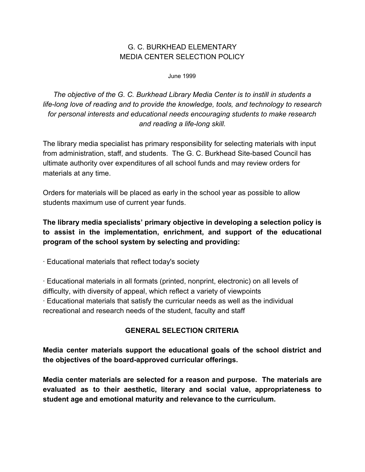# G. C. BURKHEAD ELEMENTARY MEDIA CENTER SELECTION POLICY

June 1999

*The objective of the G. C. Burkhead Library Media Center is to instill in students a life-long love of reading and to provide the knowledge, tools, and technology to research for personal interests and educational needs encouraging students to make research and reading a life-long skill.*

The library media specialist has primary responsibility for selecting materials with input from administration, staff, and students. The G. C. Burkhead Site-based Council has ultimate authority over expenditures of all school funds and may review orders for materials at any time.

Orders for materials will be placed as early in the school year as possible to allow students maximum use of current year funds.

**The library media specialists' primary objective in developing a selection policy is to assist in the implementation, enrichment, and support of the educational program of the school system by selecting and providing:**

· Educational materials that reflect today's society

· Educational materials in all formats (printed, nonprint, electronic) on all levels of difficulty, with diversity of appeal, which reflect a variety of viewpoints · Educational materials that satisfy the curricular needs as well as the individual recreational and research needs of the student, faculty and staff

## **GENERAL SELECTION CRITERIA**

**Media center materials support the educational goals of the school district and the objectives of the board-approved curricular offerings.**

**Media center materials are selected for a reason and purpose. The materials are evaluated as to their aesthetic, literary and social value, appropriateness to student age and emotional maturity and relevance to the curriculum.**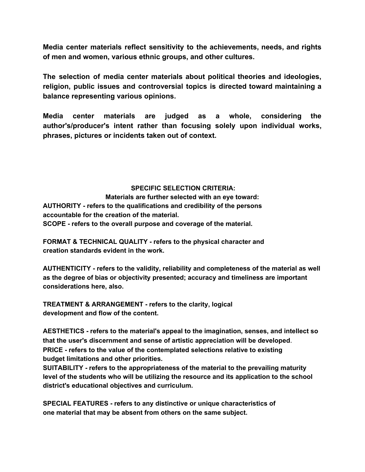**Media center materials reflect sensitivity to the achievements, needs, and rights of men and women, various ethnic groups, and other cultures.**

**The selection of media center materials about political theories and ideologies, religion, public issues and controversial topics is directed toward maintaining a balance representing various opinions.**

**Media center materials are judged as a whole, considering the author's/producer's intent rather than focusing solely upon individual works, phrases, pictures or incidents taken out of context.**

#### **SPECIFIC SELECTION CRITERIA:**

**Materials are further selected with an eye toward: AUTHORITY - refers to the qualifications and credibility of the persons accountable for the creation of the material. SCOPE - refers to the overall purpose and coverage of the material.**

**FORMAT & TECHNICAL QUALITY - refers to the physical character and creation standards evident in the work.**

**AUTHENTICITY - refers to the validity, reliability and completeness of the material as well as the degree of bias or objectivity presented; accuracy and timeliness are important considerations here, also.**

**TREATMENT & ARRANGEMENT - refers to the clarity, logical development and flow of the content.**

**AESTHETICS - refers to the material's appeal to the imagination, senses, and intellect so that the user's discernment and sense of artistic appreciation will be developed**. **PRICE - refers to the value of the contemplated selections relative to existing budget limitations and other priorities.**

**SUITABILITY - refers to the appropriateness of the material to the prevailing maturity level of the students who will be utilizing the resource and its application to the school district's educational objectives and curriculum.**

**SPECIAL FEATURES - refers to any distinctive or unique characteristics of one material that may be absent from others on the same subject.**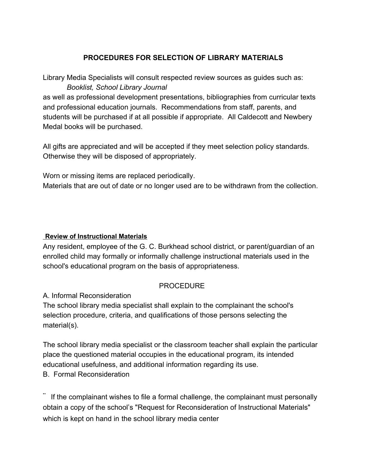## **PROCEDURES FOR SELECTION OF LIBRARY MATERIALS**

Library Media Specialists will consult respected review sources as guides such as: *Booklist, School Library Journal*

as well as professional development presentations, bibliographies from curricular texts and professional education journals. Recommendations from staff, parents, and students will be purchased if at all possible if appropriate. All Caldecott and Newbery Medal books will be purchased.

All gifts are appreciated and will be accepted if they meet selection policy standards. Otherwise they will be disposed of appropriately.

Worn or missing items are replaced periodically.

Materials that are out of date or no longer used are to be withdrawn from the collection.

#### **Review of Instructional Materials**

Any resident, employee of the G. C. Burkhead school district, or parent/guardian of an enrolled child may formally or informally challenge instructional materials used in the school's educational program on the basis of appropriateness.

### PROCEDURE

### A. Informal Reconsideration

The school library media specialist shall explain to the complainant the school's selection procedure, criteria, and qualifications of those persons selecting the material(s).

The school library media specialist or the classroom teacher shall explain the particular place the questioned material occupies in the educational program, its intended educational usefulness, and additional information regarding its use. B. Formal Reconsideration

¨ If the complainant wishes to file a formal challenge, the complainant must personally obtain a copy of the school's "Request for Reconsideration of Instructional Materials" which is kept on hand in the school library media center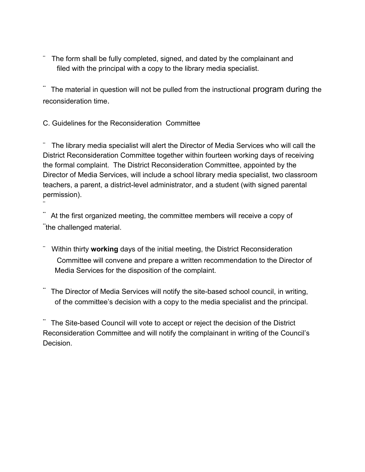The form shall be fully completed, signed, and dated by the complainant and filed with the principal with a copy to the library media specialist.

The material in question will not be pulled from the instructional program during the reconsideration time.

C. Guidelines for the Reconsideration Committee

¨

¨ The library media specialist will alert the Director of Media Services who will call the District Reconsideration Committee together within fourteen working days of receiving the formal complaint. The District Reconsideration Committee, appointed by the Director of Media Services, will include a school library media specialist, two classroom teachers, a parent, a district-level administrator, and a student (with signed parental permission).

At the first organized meeting, the committee members will receive a copy of ¨the challenged material.

- ¨ Within thirty **working** days of the initial meeting, the District Reconsideration Committee will convene and prepare a written recommendation to the Director of Media Services for the disposition of the complaint.
- The Director of Media Services will notify the site-based school council, in writing, of the committee's decision with a copy to the media specialist and the principal.

The Site-based Council will vote to accept or reject the decision of the District Reconsideration Committee and will notify the complainant in writing of the Council's Decision.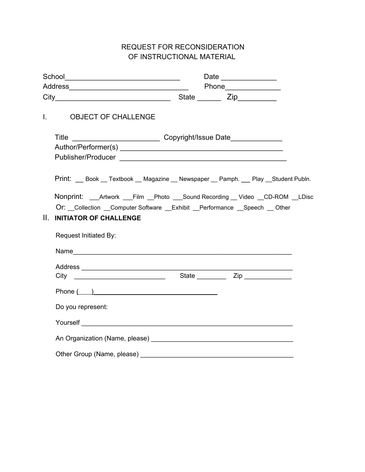# REQUEST FOR RECONSIDERATION OF INSTRUCTIONAL MATERIAL

|     |                                                                                                                                                                                                                        |  | Date |  |
|-----|------------------------------------------------------------------------------------------------------------------------------------------------------------------------------------------------------------------------|--|------|--|
|     |                                                                                                                                                                                                                        |  |      |  |
|     |                                                                                                                                                                                                                        |  |      |  |
|     | I. OBJECT OF CHALLENGE                                                                                                                                                                                                 |  |      |  |
|     | Title _________________________________Copyright/Issue Date_____________________                                                                                                                                       |  |      |  |
|     | Print: Book Textbook Magazine Newspaper Pamph. Play Student Publn.                                                                                                                                                     |  |      |  |
| II. | Nonprint: ___Artwork ___Film __Photo ___Sound Recording __Video __CD-ROM __LDisc<br>Or: Collection Computer Software Exhibit Performance Speech Other<br><b>INITIATOR OF CHALLENGE</b><br><b>Request Initiated By:</b> |  |      |  |
|     |                                                                                                                                                                                                                        |  |      |  |
|     |                                                                                                                                                                                                                        |  |      |  |
|     |                                                                                                                                                                                                                        |  |      |  |
|     | Phone ( )                                                                                                                                                                                                              |  |      |  |
|     | Do you represent:                                                                                                                                                                                                      |  |      |  |
|     |                                                                                                                                                                                                                        |  |      |  |
|     |                                                                                                                                                                                                                        |  |      |  |
|     | Other Group (Name, please)                                                                                                                                                                                             |  |      |  |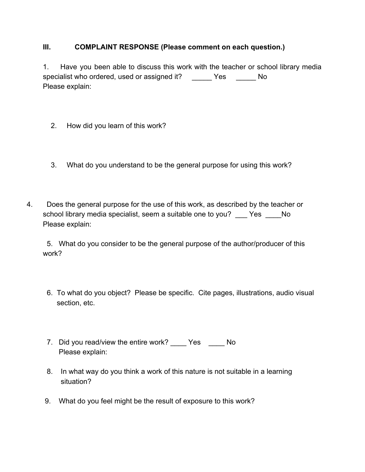### **III. COMPLAINT RESPONSE (Please comment on each question.)**

1. Have you been able to discuss this work with the teacher or school library media specialist who ordered, used or assigned it? \_\_\_\_\_ Yes \_\_\_\_\_ No Please explain:

- 2. How did you learn of this work?
- 3. What do you understand to be the general purpose for using this work?
- 4. Does the general purpose for the use of this work, as described by the teacher or school library media specialist, seem a suitable one to you? Yes No Please explain:

 5. What do you consider to be the general purpose of the author/producer of this work?

- 6. To what do you object? Please be specific. Cite pages, illustrations, audio visual section, etc.
- 7. Did you read/view the entire work? \_\_\_\_ Yes \_\_\_\_ No Please explain:
- 8. In what way do you think a work of this nature is not suitable in a learning situation?
- 9. What do you feel might be the result of exposure to this work?